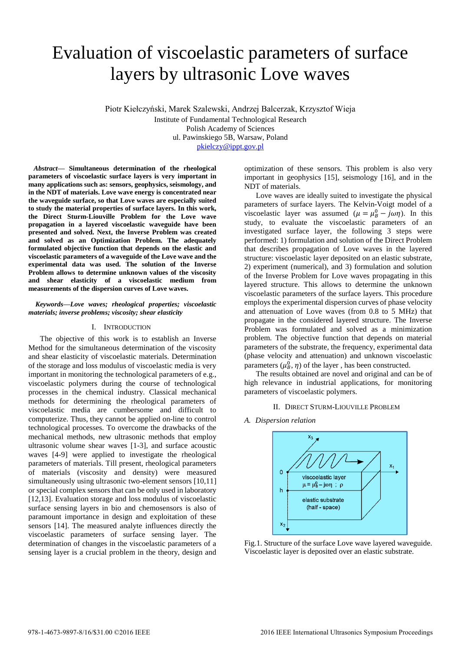# Evaluation of viscoelastic parameters of surface layers by ultrasonic Love waves

Piotr Kiełczyński, Marek Szalewski, Andrzej Balcerzak, Krzysztof Wieja Institute of Fundamental Technological Research Polish Academy of Sciences ul. Pawinskiego 5B, Warsaw, Poland [pkielczy@ippt.gov.pl](mailto:pkielczy@ippt.gov.pl)

 *Abstract***— Simultaneous determination of the rheological parameters of viscoelastic surface layers is very important in many applications such as: sensors, geophysics, seismology, and in the NDT of materials. Love wave energy is concentrated near the waveguide surface, so that Love waves are especially suited to study the material properties of surface layers. In this work, the Direct Sturm-Liouville Problem for the Love wave propagation in a layered viscoelastic waveguide have been presented and solved. Next, the Inverse Problem was created and solved as an Optimization Problem. The adequately formulated objective function that depends on the elastic and viscoelastic parameters of a waveguide of the Love wave and the experimental data was used. The solution of the Inverse Problem allows to determine unknown values of the viscosity and shear elasticity of a viscoelastic medium from measurements of the dispersion curves of Love waves.** 

# *Keywords—Love waves; rheological properties; viscoelastic materials; inverse problems; viscosity; shear elasticity*

# I. INTRODUCTION

 The objective of this work is to establish an Inverse Method for the simultaneous determination of the viscosity and shear elasticity of viscoelastic materials. Determination of the storage and loss modulus of viscoelastic media is very important in monitoring the technological parameters of e.g., viscoelastic polymers during the course of technological processes in the chemical industry. Classical mechanical methods for determining the rheological parameters of viscoelastic media are cumbersome and difficult to computerize. Thus, they cannot be applied on-line to control technological processes. To overcome the drawbacks of the mechanical methods, new ultrasonic methods that employ ultrasonic volume shear waves [1-3], and surface acoustic waves [4-9] were applied to investigate the rheological parameters of materials. Till present, rheological parameters of materials (viscosity and density) were measured simultaneously using ultrasonic two-element sensors [10,11] or special complex sensors that can be only used in laboratory [12,13]. Evaluation storage and loss modulus of viscoelastic surface sensing layers in bio and chemosensors is also of paramount importance in design and exploitation of these sensors [14]. The measured analyte influences directly the viscoelastic parameters of surface sensing layer. The determination of changes in the viscoelastic parameters of a sensing layer is a crucial problem in the theory, design and

optimization of these sensors. This problem is also very important in geophysics [15], seismology [16], and in the NDT of materials.

 Love waves are ideally suited to investigate the physical parameters of surface layers. The Kelvin-Voigt model of a viscoelastic layer was assumed  $(\mu = \mu_B^0 - j\omega\eta)$ . In this study, to evaluate the viscoelastic parameters of an investigated surface layer, the following 3 steps were performed: 1) formulation and solution of the Direct Problem that describes propagation of Love waves in the layered structure: viscoelastic layer deposited on an elastic substrate, 2) experiment (numerical), and 3) formulation and solution of the Inverse Problem for Love waves propagating in this layered structure. This allows to determine the unknown viscoelastic parameters of the surface layers. This procedure employs the experimental dispersion curves of phase velocity and attenuation of Love waves (from 0.8 to 5 MHz) that propagate in the considered layered structure. The Inverse Problem was formulated and solved as a minimization problem. The objective function that depends on material parameters of the substrate, the frequency, experimental data (phase velocity and attenuation) and unknown viscoelastic parameters  $(\mu_B^0, \eta)$  of the layer , has been constructed.

 The results obtained are novel and original and can be of high relevance in industrial applications, for monitoring parameters of viscoelastic polymers.

## II. DIRECT STURM-LIOUVILLE PROBLEM

*A. Dispersion relation*



Fig.1. Structure of the surface Love wave layered waveguide. Viscoelastic layer is deposited over an elastic substrate.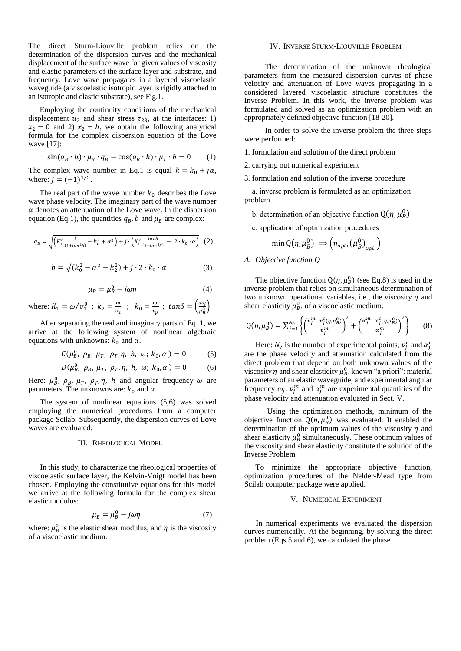The direct Sturm-Liouville problem relies on the determination of the dispersion curves and the mechanical displacement of the surface wave for given values of viscosity and elastic parameters of the surface layer and substrate, and frequency. Love wave propagates in a layered viscoelastic waveguide (a viscoelastic isotropic layer is rigidly attached to an isotropic and elastic substrate), see Fig.1.

 Employing the continuity conditions of the mechanical displacement  $u_3$  and shear stress  $\tau_{23}$ , at the interfaces: 1)  $x_2 = 0$  and 2)  $x_2 = h$ , we obtain the following analytical formula for the complex dispersion equation of the Love wave [17]:

$$
\sin(q_B \cdot h) \cdot \mu_B \cdot q_B - \cos(q_B \cdot h) \cdot \mu_T \cdot b = 0 \qquad (1)
$$

The complex wave number in Eq.1 is equal  $k = k_0 + j\alpha$ , where:  $j = (-1)^{1/2}$ .

The real part of the wave number  $k_0$  describes the Love wave phase velocity. The imaginary part of the wave number  $\alpha$  denotes an attenuation of the Love wave. In the dispersion equation (Eq.1), the quantities  $q_B$ , b and  $\mu_B$  are complex:

$$
q_B = \sqrt{\left(K_1^2 \frac{1}{(1 + \tan^2 \delta)} - k_0^2 + \alpha^2\right) + j \cdot \left(K_1^2 \frac{\tan \delta}{(1 + \tan^2 \delta)} - 2 \cdot k_0 \cdot \alpha\right)} (2)
$$

$$
b = \sqrt{(k_0^2 - \alpha^2 - k_2^2) + j \cdot 2 \cdot k_0 \cdot \alpha}
$$
 (3)

$$
\mu_B = \mu_B^0 - j\omega\eta \tag{4}
$$

where:  $K_1 = \omega/v_1^0$ ;  $k_2 = \frac{\omega}{v_1}$  $\frac{\omega}{v_2}$  ;  $k_0 = \frac{\omega}{v_p}$  $\frac{\omega}{v_p}$  ;  $tan\delta = \left(\frac{\omega\eta}{\mu_B^0}\right)$  $\frac{\omega \eta}{\mu_B^0}$ 

 After separating the real and imaginary parts of Eq. 1, we arrive at the following system of nonlinear algebraic equations with unknowns:  $k_0$  and  $\alpha$ .

$$
C(\mu_B^0, \rho_B, \mu_T, \rho_T, \eta, h, \omega; k_0, \alpha) = 0 \tag{5}
$$

$$
D(\mu_B^0, \rho_B, \mu_T, \rho_T, \eta, h, \omega; k_0, \alpha) = 0 \tag{6}
$$

Here:  $\mu_B^0$ ,  $\rho_B$ ,  $\mu_T$ ,  $\rho_T$ ,  $\eta$ ,  $h$  and angular frequency  $\omega$  are parameters. The unknowns are:  $k_0$  and  $\alpha$ .

 The system of nonlinear equations (5,6) was solved employing the numerical procedures from a computer package Scilab. Subsequently, the dispersion curves of Love waves are evaluated.

## III. RHEOLOGICAL MODEL

 In this study, to characterize the rheological properties of viscoelastic surface layer, the Kelvin-Voigt model has been chosen. Employing the constitutive equations for this model we arrive at the following formula for the complex shear elastic modulus:

$$
\mu_B = \mu_B^0 - j\omega\eta \tag{7}
$$

where:  $\mu_B^0$  is the elastic shear modulus, and  $\eta$  is the viscosity of a viscoelastic medium.

# IV. INVERSE STURM-LIOUVILLE PROBLEM

 The determination of the unknown rheological parameters from the measured dispersion curves of phase velocity and attenuation of Love waves propagating in a considered layered viscoelastic structure constitutes the Inverse Problem. In this work, the inverse problem was formulated and solved as an optimization problem with an appropriately defined objective function [18-20].

 In order to solve the inverse problem the three steps were performed:

- 1. formulation and solution of the direct problem
- 2. carrying out numerical experiment
- 3. formulation and solution of the inverse procedure

 a. inverse problem is formulated as an optimization problem

- b. determination of an objective function  $Q(\eta, \mu_B^0)$ 
	- c. application of optimization procedures

$$
\min Q(\eta, \mu_B^0) \Rightarrow (\eta_{opt}, (\mu_B^0)_{opt})
$$

# *A. Objective function Q*

The objective function  $Q(\eta, \mu_B^0)$  (see Eq.8) is used in the inverse problem that relies on simultaneous determination of two unknown operational variables, i.e., the viscosity  $\eta$  and shear elasticity  $\mu_B^0$ , of a viscoelastic medium.

$$
Q(\eta, \mu_B^0) = \sum_{j=1}^{N_e} \left\{ \left( \frac{v_j^m - v_j^c(\eta, \mu_B^0)}{v_j^m} \right)^2 + \left( \frac{\alpha_j^m - \alpha_j^c(\eta, \mu_B^0)}{\alpha_j^m} \right)^2 \right\} \tag{8}
$$

Here:  $N_e$  is the number of experimental points,  $v_j^c$  and  $\alpha_j^c$ are the phase velocity and attenuation calculated from the direct problem that depend on both unknown values of the viscosity  $\eta$  and shear elasticity  $\mu_B^0$ , known "a priori": material parameters of an elastic waveguide, and experimental angular frequency  $\omega_j$ .  $v_j^m$  and  $\alpha_j^m$  are experimental quantities of the phase velocity and attenuation evaluated in Sect. V.

 Using the optimization methods, minimum of the objective function  $\hat{Q}(\eta, \mu_B^0)$  was evaluated. It enabled the determination of the optimum values of the viscosity  $\eta$  and shear elasticity  $\mu_B^0$  simultaneously. These optimum values of the viscosity and shear elasticity constitute the solution of the Inverse Problem.

To minimize the appropriate objective function, optimization procedures of the Nelder-Mead type from Scilab computer package were applied.

#### V. NUMERICAL EXPERIMENT

 In numerical experiments we evaluated the dispersion curves numerically. At the beginning, by solving the direct problem (Eqs.5 and 6), we calculated the phase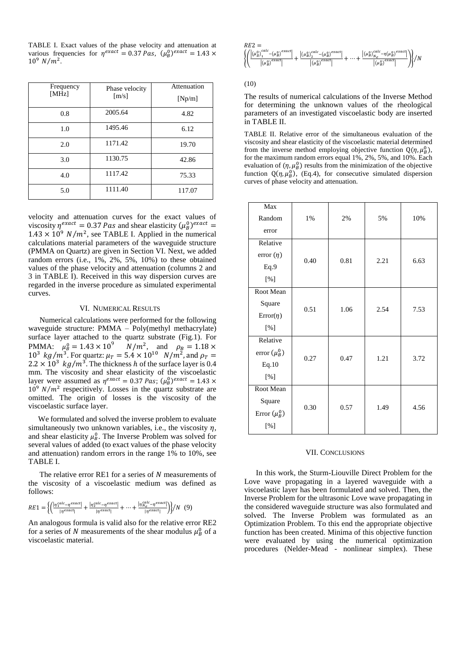TABLE I. Exact values of the phase velocity and attenuation at various frequencies for  $\eta^{exact} = 0.37 \text{ Pas}, \ (\mu_B^0)^{exact} = 1.43 \times$  $10^9$   $N/m^2$ .

| Frequency<br>[MHz] | Phase velocity<br>$\lceil m/s \rceil$ | Attenuation<br>[Np/m] |
|--------------------|---------------------------------------|-----------------------|
| 0.8                | 2005.64                               | 4.82                  |
| 1.0                | 1495.46                               | 6.12                  |
| 2.0                | 1171.42                               | 19.70                 |
| 3.0                | 1130.75                               | 42.86                 |
| 4.0                | 1117.42                               | 75.33                 |
| 5.0                | 1111.40                               | 117.07                |

velocity and attenuation curves for the exact values of viscosity  $\eta^{exact} = 0.37$  Pas and shear elasticity  $(\mu_B^0)^{exact} =$  $1.43 \times 10^9$  N/m<sup>2</sup>, see TABLE I. Applied in the numerical calculations material parameters of the waveguide structure (PMMA on Quartz) are given in Section VI. Next, we added random errors (i.e., 1%, 2%, 5%, 10%) to these obtained values of the phase velocity and attenuation (columns 2 and 3 in TABLE I). Received in this way dispersion curves are regarded in the inverse procedure as simulated experimental curves.

### VI. NUMERICAL RESULTS

Numerical calculations were performed for the following waveguide structure: PMMA – Poly(methyl methacrylate) surface layer attached to the quartz substrate (Fig.1). For PMMA:  $\mu_B^0 = 1.43 \times 10^9$   $N/m^2$ , and  $\rho_B = 1.18 \times$  $10^3$  kg/m<sup>3</sup>. For quartz:  $\mu_T = 5.4 \times 10^{10}$  N/m<sup>2</sup>, and  $\rho_T =$  $2.2 \times 10^3$  kg/m<sup>3</sup>. The thickness h of the surface layer is 0.4 mm. The viscosity and shear elasticity of the viscoelastic layer were assumed as  $\eta^{exact} = 0.37$  Pas;  $(\mu_B^0)^{exact} = 1.43 \times$  $10^9$  N/m<sup>2</sup> respecitively. Losses in the quartz substrate are omitted. The origin of losses is the viscosity of the viscoelastic surface layer.

 We formulated and solved the inverse problem to evaluate simultaneously two unknown variables, i.e., the viscosity  $\eta$ , and shear elasticity  $\mu_B^0$ . The Inverse Problem was solved for several values of added (to exact values of the phase velocity and attenuation) random errors in the range 1% to 10%, see TABLE I.

The relative error RE1 for a series of  $N$  measurements of the viscosity of a viscoelastic medium was defined as follows:

$$
RE1 = \left\{ \left( \frac{\left| \eta_1^{calc} - \eta^{exact} \right|}{\left| \eta^{exact} \right|} + \frac{\left| \eta_2^{calc} - \eta^{exact} \right|}{\left| \eta^{exact} \right|} + \dots + \frac{\left| \eta_{Ne}^{calc} - \eta^{exact} \right|}{\left| \eta^{exact} \right|} \right) \right\} / N \tag{9}
$$

An analogous formula is valid also for the relative error RE2 for a series of N measurements of the shear modulus  $\mu_B^0$  of a viscoelastic material.

$$
RE2 = \left\{ \left( \frac{\left| (\mu_B^0)^{calc} - (\mu_B^0)^{exact} \right|}{\left| (\mu_B^0)^{exact} \right|} + \frac{\left| (\mu_B^0)^{calc} - (\mu_B^0)^{exact} \right|}{\left| (\mu_B^0)^{exact} \right|} + \dots + \frac{\left| (\mu_B^0)^{calc} - \eta(\mu_B^0)^{exact} \right|}{\left| (\mu_B^0)^{exact} \right|} \right) \right\} / N
$$

(10)

The results of numerical calculations of the Inverse Method for determining the unknown values of the rheological parameters of an investigated viscoelastic body are inserted in TABLE II.

TABLE II. Relative error of the simultaneous evaluation of the viscosity and shear elasticity of the viscoelastic material determined from the inverse method employing objective function  $Q(\eta, \mu_B^0)$ , for the maximum random errors equal 1%, 2%, 5%, and 10%. Each evaluation of  $(\eta, \mu_B^0)$  results from the minimization of the objective function  $Q(\eta, \mu_B^0)$ , (Eq.4), for consecutive simulated dispersion curves of phase velocity and attenuation.

| Max               |      |      |      |      |
|-------------------|------|------|------|------|
| Random            | 1%   | 2%   | 5%   | 10%  |
| error             |      |      |      |      |
| Relative          |      |      |      |      |
| error $(\eta)$    | 0.40 | 0.81 | 2.21 | 6.63 |
| Eq.9              |      |      |      |      |
| [%]               |      |      |      |      |
| Root Mean         |      |      |      |      |
| Square            |      |      |      |      |
| $Error(\eta)$     | 0.51 | 1.06 | 2.54 | 7.53 |
| [%]               |      |      |      |      |
| Relative          |      |      |      |      |
| error $(\mu_B^0)$ |      |      |      |      |
| Eq.10             | 0.27 | 0.47 | 1.21 | 3.72 |
| [%]               |      |      |      |      |
| Root Mean         |      |      |      |      |
| Square            |      |      |      |      |
| Error $(\mu_B^0)$ | 0.30 | 0.57 | 1.49 | 4.56 |
| [%]               |      |      |      |      |

#### VII. CONCLUSIONS

 In this work, the Sturm-Liouville Direct Problem for the Love wave propagating in a layered waveguide with a viscoelastic layer has been formulated and solved. Then, the Inverse Problem for the ultrasonic Love wave propagating in the considered waveguide structure was also formulated and solved. The Inverse Problem was formulated as an Optimization Problem. To this end the appropriate objective function has been created. Minima of this objective function were evaluated by using the numerical optimization procedures (Nelder-Mead - nonlinear simplex). These